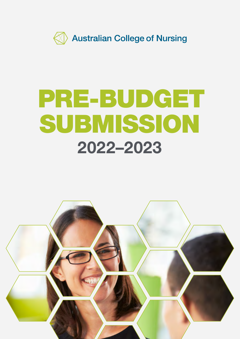

# PRE-BUDGET SUBMISSION 2022–2023

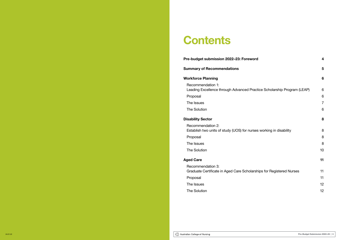# **Contents**

Pre-budget submission 2022–23: Foreword **4** 

Recommendation 1: Leading Excellence through Advanced Pract

Proposal

The Issues

#### Summary of Recommendations 5

#### Workforce Planning 6

Recommendation 2: Establish two units of study (UOS) for nurses

Proposal

The Issues

The Solution

#### **Aged Care**

Recommendation 3: Graduate Certificate in Aged Care Scholarships for Proposal

The Issues

The Solution

The Solution 6

#### **Disability Sector**

| u                               | 4  |
|---------------------------------|----|
|                                 | 5  |
|                                 | 6  |
| tice Scholarship Program (LEAP) | 6  |
|                                 | 6  |
|                                 | 7  |
|                                 | 6  |
| s working in disability         | 8  |
|                                 | 8  |
|                                 | 8  |
|                                 | 8  |
|                                 | 10 |
|                                 | 11 |
| hips for Registered Nurses      | 11 |
|                                 | 11 |
|                                 | 12 |
|                                 | 12 |
|                                 |    |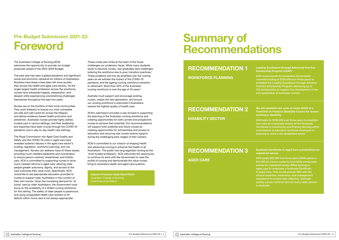# Pre-Budget Submission 2021-22: Foreword

The Australian College of Nursing (ACN) welcomes the opportunity to provide our budget proposals ahead of the 2022–2023 Budget.

The past year has seen a global pandemic and significant social and economic upheaval for millions of Australians. Nowhere have these crises been felt more acutely than across the health and aged care sectors. As the single largest health profession across the workforce, nurses have witnessed tragedy, desperation, and despair while experiencing overwhelming challenges themselves throughout the past two years.

Nurses are on the frontline of their local communities. They work tirelessly to ensure our most vulnerable are safe and well-cared for across the lifespan and deliver evidence-based health promotion and prevention. Australian nurses provide highly skilled, trusted care in various settings, and their leadership and expertise have been crucial through the COVID-19 pandemic and in day-to-day health care settings.

These crises also strike at the heart of the future challenges our profession faces. While many students study to become nurses, new graduates face challenges entering the workforce due to poor transition practices.<sup>1</sup> These problems will only be amplified over the coming years as we witness the impact of the COVID-19 pandemic and the ageing nursing workforce transition to retirement. More than 50% of the Australian nursing workforce is over the age of 45 years.<sup>2</sup>

The Royal Commission into Aged Care Quality and Safety and the COVID-19 crisis in aged care have revealed systemic failures in the aged care sector's funding, regulation, workforce planning, and risk management. Nurses can address many of these issues, providing much-needed leadership and coordination to ensure person-centred, streamlined, and holistic care. ACN is committed to supporting nurses to drive much-needed reforms in aged care, allowing older people greater autonomy, dignity, and access to the care outcomes they value most. Specifically, ACN would like to see appropriate education provided to nurses to support older Australians in the comfort of their own homes. Given the increasing demand for 'at home' care by older Australians, the Government must focus on the availability of a skilled nursing workforce for this setting. The safety of older people is paramount, and using unregulated health care workers to fill deficits within home care is not always appropriate.

ACN is committed to our mission of shaping health and advancing nursing to enhance the health of all Australians. The public has long regarded nursing as the 'most trusted profession.' ACN welcomes the opportunity to continue its work with the Government to raise the profile of nursing and demonstrate the value nurses bring to Australia's health and aged care systems.

Australia must support and encourage existing nurses, inspire the next generation, and ensure our nursing workforce is optimised if Australians receive the highest quality of health care.

ACN's submission provides a way forward in supporting the planning of the Australian nursing workforce and creating opportunities for both current and prospective nurses to achieve their potential. Our recommendations will support both potential and future nurses by creating opportunities for scholarships and access to education and ensuring new nurses receive support during the challenging early stages of their careers.

Adjunct Professor Kylie Ward FACN Australian College of Nursing Chief Executive Officer

# Summary of Recommendations

## RECOMMENDATION 1

WORKFORCE PLANNING

Leading Excellence through Advanced Practice Scholarship Program (LEAP).

ACN recommends the Australian Government commits funding of \$720,000 over three years to establish the Leading Excellence through Advance Practice Scholarship Program, delivering up to 150 scholarships to support the development of the next generation of Australian nurses.

# RECOMMENDATION 2

DISABILITY SECTOR

### RECOMMENDATION 3

AGED CARE

We will establish two units of study (UOS) of a Transition to Practice Disability Course for nurses working in disability.

ACN asks for \$250,000 over three years to establish two units as a specialty stream of the Graduate Certificate in Community and Primary Nursing within a framework of education for those working in or planning to work in the disabilities sector.

Graduate Certificate in Aged Care scholarships for registered nurses.

ACN seeks \$52.5M over three years (5000 places x \$10,500 for course costs) to fund 5000 scholarship places for registered nurses (RNs) working in aged care to undertake a Graduate Certificate in Aged Care. This would provide RNs with the clinical expertise, leadership, and management experience to ensure safe, effective, and highquality person-centred care for every older person in Australia.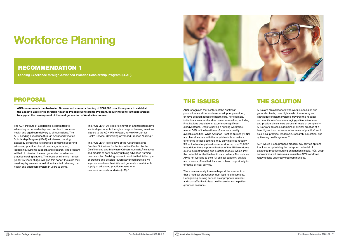# Workforce Planning

#### RECOMMENDATION 1

Leading Excellence through Advanced Practice Scholarship Program (LEAP).

### PROPOSAL

ACN recommends the Australian Government commits funding of \$720,000 over three years to establish the Leading Excellence through Advance Practice Scholarship Program, delivering up to 150 scholarships to support the development of the next generation of Australian nurses.

> The ACN LEAP is reflective of the Advanced Nurse Practice Guidelines for the Australian Context by the Chief Nursing and Midwifery Officers Australia,<sup>4</sup> initiatives and models of care delivery utilising advanced nursing practice roles. Enabling nurses to work to their full scope of practice and develop toward advanced practice will improve workforce flexibility and generate a sustainable supply of advanced practice nurses who can work across boundaries (p.15).<sup>5</sup>

The ACN Institute of Leadership is committed to advancing nurse leadership and practice to enhance health and aged care delivery to all Australians. The ACN Leading Excellence through Advanced Practice Scholarship Program (LEAP) will develop nursing capability across the five practice domains supporting advanced practice, clinical practice, education, leadership, systems support, and research. The program will help to develop the next generation of advanced practice nursing leaders. The focus on millennial nurses (under 35 years of age) will give this cohort the skills they need to play an even more influential role in shaping the health and aged care system in years to come.

The ACN LEAP will explore innovation and transformative leadership concepts through a range of learning sessions aligned to the ACN White Paper, 'A New Horizon for Health Service: Optimising Advanced Practice Nursing.'3

APNs are clinical leaders who work in specialist and generalist fields, have high levels of autonomy and knowledge of health systems, traverse the hospital community interface in managing patient/client care and provide clinical care across all levels of complexity. APNs work across all domains of clinical practice at a level higher than nurses at other levels of practice<sup>7</sup> such as clinical practice, leadership, research, education, and optimising health systems.<sup>89</sup>

# THE ISSUES

ACN recognises that sectors of the Australian population are either underserviced, poorly serviced, or have delayed access to health care. For example, individuals from rural and remote communities, including First Nations populations, experience significant disadvantages. Despite having a nursing workforce, almost 50% of the health workforce, as a readily available solution. While Advance Practice Nurses (APNs) are clinical leaders with the requisite skills to make a difference in these settings, they only make up roughly 9% of the total registered nurse workforce, over 26,000.<sup>6</sup> In addition, there is poor utilisation of the APN workforce due to current funding and practice models, which limit the potential for flexible health care delivery. Not only are APNs not working to their full clinical capacity, but it is also a waste of health dollars and missed opportunity for effective clinical service.

There is a necessity to move beyond the assumption that a medical practitioner must lead health services. Recognising nursing service as appropriate, relevant, and cost-effective to lead health care for some patient groups is essential.



# THE SOLUTION

ACN would like to propose modern-day service options that involve optimising the untapped potential of advanced practice nursing on a national scale. ACN Leap scholarships will ensure a sustainable APN workforce ready to lead underserviced communities.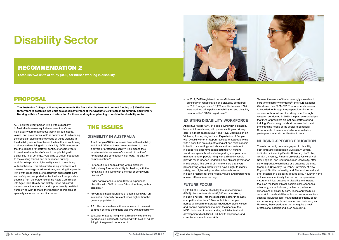# Disability Sector

### RECOMMENDATION 2

Establish two units of study (UOS) for nurses working in disability.

## PROPOSAL

The Australian College of Nursing recommends the Australian Government commit funding of \$250,000 over three years to establish two units as a specialty stream of the Graduate Certificate in Community and Primary Nursing within a framework of education for those working in or planning to work in the disability sector.

ACN believes every person living with a disability in Australia deserves equitable access to safe and high-quality care that reflects their individual needs, values, and preferences. ACN is committed to advancing the specialist skills and knowledge of those working in the disability sector to enhance the health and well-being of all Australians living with a disability. ACN recognises that the demand for staff will continue for some years to provide a basic level of care to people living with disabilities in all settings. ACN aims to deliver education to the existing trained and experienced nursing workforce to provide high-quality care to those living with disabilities. This educated nursing workforce will oversee the unregistered workforce, ensuring that people living with disabilities are treated with appropriate care and safety and supported to live the best lives possible. Learning from the outcomes of the Royal Commission into Aged Care Quality and Safety, these educated nurses can act as mentors and support newly qualified nurses who wish to make the transition to this area of specialty as future demand increases.

• In 2019, 7,495 registered nurses (RNs) worked principally in rehabilitation and disability compared to 31,613 in aged care.<sup>16</sup> 3,220 enrolled nurses (ENs) were working principally in rehabilitation and disability compared to 17,379 in aged care.<sup>17</sup>

### THE ISSUES

#### DISABILITY IN AUSTRALIA

- 1 in 6 people (18%) in Australia lives with a disability, and 1 in 3 (32%) of those, are considered to have a severe or profound disability. This means they require assistance 'always' or 'most of the time' for at least one core activity: self-care, mobility, or communication.10
- For about 3 in 4 people living with a disability, their primary form of disability is physical, with the remaining 1 in 4 living with a mental or behavioural disability.11
- Older populations are more likely to experience disability, with 50% of those 65 or older living with a disability.12
- Preventable hospitalisations of people living with an intellectual disability are eight times higher than the general population.13
- 2.8 million Australians with one or more of the most common chronic conditions also live with a disability.14
- Just 24% of adults living with a disability experience good or excellent health, compared with 65% of adults living in the general population.15

#### EXISTING DISABILITY WORKFORCE

About two-thirds (67%) of people living with a disability have an informal carer, with parents acting as primary carers in most cases (65%).18 The Royal Commission on Violence, Abuse, Neglect, and Exploitation of People with Disability Interim Report revealed that people living with disabilities are subject to neglect and misdiagnosis in health care settings and abuse and mistreatment in supported accommodation settings.19 A nursing workforce specially educated regarding complex care management for people living with a disability would provide much-needed leadership and clinical governance in this sector. The overall aim is to ensure that every person living with a disability will have a right to dignity, safety, and high-quality, evidence-based care including respect for their needs, values, and preferences across different care settings.

#### FUTURE FOCUS

By 2024, the National Disability Insurance Scheme (NDIS) plans to draw about 83,000 extra workers, including nurses, into the disabilities sector in all NDIS occupational sectors,<sup>20</sup> To enable this to happen, nurses will require the proper knowledge, skills, values, and diverse experiences to meet the needs of the NDIS, inclusive of understanding of intellectual and development disabilities (IDD), health disparities, and complex communication skills.



To meet the needs of the increasingly casualised, part-time disability workforce $21$ , the NDIS National Workforce Plan 2021-2025<sup>22</sup> recommends access to knowledge through the preparation of shorter courses without a loss of working time. Through research conducted in 2020, the plan acknowledges that 20% of providers did not pay staff to attend training. Quick design of short courses that meet the changing needs of the sector is beneficial. Components of an accredited course will allow participants to attain certification in time.

#### NURSING-SPECIFIC EDUCATION

There is currently no nursing-specific disability post-graduate education in Australia.<sup>23</sup> Several institutions, including Deakin University, La Trobe, Griffith University, Flinders University, University of New England, and Southern Cross University, offer either a graduate certificate or a graduate diploma. Macquarie University, La Trobe, University of New England, Griffith University, and Flinders University all offer Masters in a disability-related area. However, none of these are specifically focused on the specialised nature of clinical practice in disability and instead focus on the legal, ethical, sociological, economic, advocacy, social inclusion, or lived experience dimensions of disability care. These courses build on work in the disabilities or human services sectors, such as individual care, managerial positions, policy and advocacy, sports and leisure, and technologies. However, these graduates do not require a health professional background such as nursing.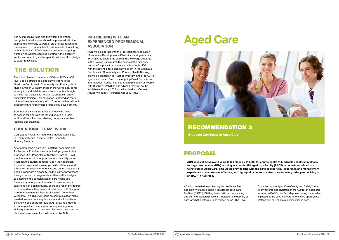The Australian Nursing and Midwifery Federation recognise that all nurses should be prepared with the skills and knowledge to work in care rehabilitation and management of optimal health outcomes for those living with a disability.<sup>24</sup> ACN's solution proposes targeting nurses who want to continue nursing in the disability sector and wish to gain the specific skills and knowledge to excel in this field.

### THE SOLUTION

The initial plan is to develop a 150-hour UOS at AQF level 8 to be offered as a specialty elective in the Graduate Certificate in Community and Primary Health Nursing, which will allow those in the workplace, either already in the disabilities workplace or with a thought to move into disabilities nursing, to engage in easily accessible training. This education is offered as more minor micro-units of study of 1-10 hours, with or without assessment, for continuing professional development.

Both options will be attractive to those who want to access training with the least disruption to their work and life schedules, allowing nurses accessible learning opportunities.

#### EDUCATIONAL FRAMEWORK

Completing 4 UOS will lead to a Graduate Certificate in Community and Primary Health (Disability Nursing Stream).

> ACN is committed to protecting the health, welfare, and dignity of all residents in residential aged care facilities (RACFs). Staffing levels, skill mix, resourcing and communication all have an impact on the delivery of care, or what is referred to as missed care<sup>25</sup>. The Royal

After completing a core UOS entitled Leadership and Professional Practice, the student will progress to the proposed UOS Principles of Disability Nursing. It will provide a foundation for practice as a disability nurse. It will ask the student to reflect upon their approach to develop specialist knowledge, skills, attitudes, and attributes necessary for effective and caring practice for people living with a disability. As the learner progresses through the unit, a range of disabilities will be analysed to determine the complex health care needs and the nursing management required to ensure people experience an optimal quality of life and reach the degree of independence they desire. A third core UOS Complex Care Management for People Living with Disabilities will follow. This UOS will focus on communication skills needed to overcome acquiescence and will build upon the knowledge of the first two UOS, allowing students to conceptualise the complex nursing management skill required to lead in practice. Students then have the choice of several elective units offered by ACN.

#### PARTNERING WITH AN EXPERIENCED PROFESSIONAL ASSOCIATION

ACN will collaborate with the Professional Association of Nurses in Developmental Disability Nursing Australia (PANDDA) to ensure the skills and knowledge delivered in the training units match the needs of the disability sector. ACN plans to commence with a single UOS with the potential for a specialty stream in the Graduate Certificate in Community and Primary Health Nursing, allowing a Transition to Practice Program similar to ACN's aged care model. Due to the ongoing Royal Commission into Violence, Abuse, Neglect, and Exploitation of People with Disability, PANDDA has advised they will not be available until early 2022 to be involved in a Course Advisory Industry Reference Group (CAIRG).

# Aged Care



### PROPOSAL

ACN seeks \$52.5M over 3 years (5000 places x \$10,500 for course costs) to fund 5000 scholarship places for registered nurses (RNs) working in a residential aged care facility (RACF) to undertake a Graduate Certificate in Aged Care. This would provide RNs with the clinical expertise, leadership, and management experience to ensure safe, effective, and high-quality person-centred care for every older person living in an RACF in Australia.

> Commission into Aged Care Quality and Safety26 found 'many failures and shortfalls in the Australian aged care system'. In RACFs, the first step to ensuring the resident is placed at the centre of care is to ensure appropriate staffing and skill mix to minimise missed care.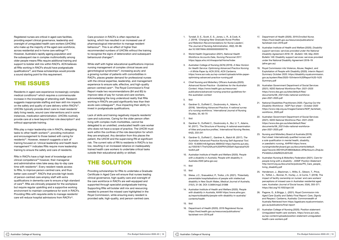Registered nurses are critical in aged care facilities, providing expert clinical governance, leadership and oversight of unregulated health care workers (UHCWs) who make up the majority of the aged care workforce, across residential and in-home care settings<sup>27,28</sup>. However, Australia's rapidly ageing population and the subsequent rise in complex multimorbidity among older people means RNs require additional training and support to bolster skill mix within RACFs. ACN believes all RNs working in RACFs should have postgraduate qualifications29, and these scholarships would provide a sound starting point for this requirement.

### THE ISSUES

RNs in RACFs have a high level of knowledge and clinical competence36 however, their managerial and administrative roles take away day-to-day care time with residents<sup>37</sup>. Every resident needs access to RNs, to improve person-centred care, and thus better care overall<sup>38</sup>. RACFs that provide high levels of person-centred care employ staff with extra qualifications in dementia care to ensure a high standard of care39. RNs are clinically prepared for the workplace but require regular upskilling and a supportive working environment to maintain competence for work in RACFs. Providing RNs with requisite skills to manage residents' care will reduce hospital admissions from RACFs<sup>40</sup>.

Residents in aged care experience increasingly complex medical conditions<sup>30</sup> which requires a commensurate increase in the knowledge of attending staff. Research suggests inappropriate staffing and lean skill mix impacts on the safety and quality of care delivery within RACFs<sup>31</sup>. UHCWs typically provide direct care to meet residents' daily living needs, wound care interventions and in some instances, medication administration. UHCWs routinely provide care at a level beyond their role description<sup>32</sup> and without appropriate training.

Care provision in RACFs is often reported as lacking, which has resulted in an increased use of pharmacological intervention to manage resident behaviour41. This is an effect of higher than recommended numbers of UHCWs without the training to recognise the signs of deterioration and subsequent behavioural changes<sup>42</sup>.

RNs play a major leadership role in RACFs, delegating tasks to other health workers<sup>33</sup>, providing motivation and encouragement to those tasked with caring for residents<sup>34</sup>. However, research suggests a lack of training focused on 'clinical leadership and health team management'35 indicates RNs require more leadership training to ensure the safety and care of residents.

While staff with higher educational qualifications improve nursing management of complex clinical issues and gerontological syndromes<sup>43</sup>, increasing acuity and a growing number of patients with comorbidities in RACFs, places greater demand for professional nurses with the clinical expertise, leadership, and management experience to ensure safe, effective, and high-quality person-centred care<sup>44</sup>. The Royal Commission's Final Report made two recommendations (84 and 85) to improve rates of pay for nurses and care workers, acknowledging the long understood reality that RNs working in RACFs are paid significantly less than their acute care colleagues $45$ , thus impacting their ability to invest in postgraduate qualifications.

Lack of skills and training negatively impacts residents' care and outcomes. Caring for the older person often living with complex multi-morbidities, cannot be delegated to an unskilled, uneducated health care worker who does not have a scope of practice. The UHCW must work within the confines of the role description for which they are employed. Any deviation from this places the patient, the UHCW and the supervising RN at significant risk. The current ratio of RN to residents in RACFs is too low, resulting in an increased reliance on inadequately trained health care workers to undertake critical tasks outside their educational ability or skillset.

# THE SOLUTION

Providing scholarships for RNs to undertake a Graduate Certificate in Aged Care will ensure that nurses leading clinical governance, high-quality care and oversight of the care workforce in RACFs are well-equipped and supported through specialist postgraduate training. Supporting RNs will bolster skill mix and resourcing needed to prevent the missed care highlighted in the Royal Commission, while ensuring every resident is provided safe, high-quality, and person-centred care.

- 1. Tyndall, D. E., Scott, E. S., Jones, L. R., & Cook, K. J. (2019). '*Changing New Graduate Nurse Profiles and Retention Recommendations for Nurse Leaders'*, The Journal of Nursing Administration, 49(2), 93-98. doi:10.1097/NNA.0000000000000716.
- 2. World Health Organization (2021). *National Health Workforce Accounts Data, Nursing Personnel 2017*. https://apps.who.int/nhwaportal/Home/Index
- 3. Australian College of Nursing (ACN) (2019). *A New Horizon for Health Service: Optimising Advanced Practice Nursing – A White Paper by ACN 2019, ACN Canberra*. https://www.acn.edu.au/wp-content/uploads/white-paperoptimising-advanced-practice-nursing.pdf
- 4. Chief Nursing and Midwifery Officers Australia (2020). *Advanced Nurse Practice - Guidelines for the Australian Context*. https://www.health.gov.au/resources/ publications/advanced-nursing-practice-guidelines-forthe-australian-context
- 5. Ibid
- 6. Gardner G., Duffield C., Doubrovsky A., Adams, A. (2016). *'Identifying Advanced Practice: A national survey of a nursing workforce,*' International Journal of Nursing Studies, 55, 60-70
- 7. Ibid
- 8. Gardner G., Duffield C., Doubrovsky A., Bui, U. T., Adams, M. (2017). 'The Structure of Nursing: A national examination of titles and practice profiles,' *International Nursing Review*, 64(2), 233-241
- 9. Gardner G., Duffield C., Gardner A., Batch M. (2017). *The Australian Advanced Practice Nursing Self-Appraisal Tool*. DOI: 10.6084/m9.figshare.4669432 https://eprints.qut.edu. au/105518/1/The%20Aust%20APN%20Self-Appraisal%20 toolkit.pdf
- 10. Australian Institute of Health and Welfare (2020). *People with a disability in Australia*. People with disability in Australia 2020 (aihw.gov.au)
- 11. Ibid
- 12. Ibid
- 13. Weise, J.C., Srasuebkul, P., Trollor, J.N. (2021). 'Potentially preventable hospitalisations of people with intellectual disability in New South Wales, *Medical Journal of Australia*, 215(1), 31-36. DOI: 0.5694/mja2.51088
- 14. Australian Institute of Health and Welfare (2020). *People with disability in Australia*, AIHW https://www.aihw.gov. au/reports/disability/people-with-disability-in-australia/ contents/health

15. Ibid

16. Department of Health (2020). *2019 Registered Nurse*. https://hwd.health.gov.au/resources/publications/ factsheet-nrrn-2019.pdf

- 17. Department of Health (2020). 2019 *Enrolled Nurse*. https://hwd.health.gov.au/resources/publications/ factsheet-nren-2019.pdf
- 18. Australian Institute of Health and Welfare (2020). *Disability support services: services provided under the National Disability Agreement 2018–19 - Bulletin 149, May 2020*. Bulletin 149: Disability support services: services provided under the National Disability Agreement 2018–19 (aihw.gov.au)
- 19. Royal Commission into Violence, Abuse, Neglect, and Exploitation of People with Disability (2020). *Interim Report: Summary October 2020*. https://disability.royalcommission. gov.au/system/files/2020-10/Interim%20Report%20-%20 Summary.pdf
- 20. Australian Government Department of Social Services (2021). *NDIS National Workforce Plan: 2021–2025* https://www.dss.gov.au/sites/default/files/ documents/06\_2021/ndis-national-workforceplan-2021-2025.pdf
- 21. National Disabilities Practitioners 2020. *Figuring Out the Disability Workforce - NDP Fact sheet – October 2020* https://www.ndp.org.au/images/Careers/NDP\_factsheet workforce\_2020.pdf
- 22. Australian Government Department of Social Services (2021). *NDIS National Workforce Plan: 2021–2025* https://www.dss.gov.au/sites/default/files/ documents/06\_2021/ndis-national-workforceplan-2021-2025.pdf
- 23. Nursing and Midwifery Board of Australia (2019). *Fact sheet: Internationally qualified nurses with a sole qualification in mental health, disability, or paediatric nursing, AHPRA* https://www. nursingmidwiferyboard.gov.au/documents/default. aspx?record=WD19%2F28930&dbid=AP&chksum=ZhqLbx PVn652lcrLKtbRKQ%3D%3D
- 24. Australian Nursing & Midwifery Federation (2021). *Care for people living with a disability - ANMF Position Statement* http://anmf.org.au/documents/policies/PS\_Care\_people\_ living\_disability.pdf
- 25. Henderson, J., Blackman, I., Willis, E., Gibson, T., Price, K., Toffoli, L., Bonner, R., Hurley, J., & Currie, T. (2018). The impact of facility ownership on nurses' and care workers' perceptions of missed care in Australian residential aged care. *Australian Journal of Social Issues*, 53(4), 355-371. https://doi.org/10.1002/ajs4.50
- 26. Pagone, G., & Briggs, L. (2021). *Royal Commission into Aged Care Quality and Safety Final Report: Care, Dignity and Respect*. Canberra, Australia: Commonwealth of Australia Retrieved from https://agedcare.royalcommission. gov.au/publications/final-report
- 27. Australian College of Nursing (2020). Position statement: Unregulated health care workers. https://www.acn.edu. au/wp-content/uploads/position-statement-unregulatedhealth-care-workers.pdf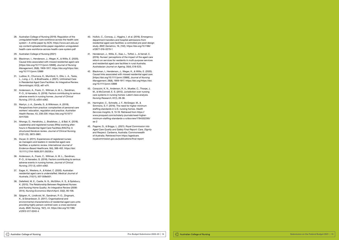28. Australian College of Nursing (2019). Regulation of the unregulated health care workforce across the health care system – A white paper by ACN. https://www.acn.edu.au/ wp-content/uploads/white-paper-regulation-unregulatedhealth-care-workforce-across-health-care-system.pdf

#### 29. Australian College of Nursing (2021)

- 30. Blackman, I., Henderson, J., Weger, K., & Willis, E. (2020). Causal links associated with missed residential aged care [https://doi.org/10.1111/jonm.12889]. *Journal of Nursing Management*, 28(8), 1909-1917. https://doi.org/https://doi. org/10.1111/jonm.12889
- 31. Ludlow, K., Churruca, K., Mumford, V., Ellis, L. A., Testa, L., Long, J. C., & Braithwaite, J. (2021). Unfinished Care in Residential Aged Care Facilities: An Integrative Review. *Gerontologist*, 61(3), e61-e74.
- 32. Andersson, A., Frank, C., Willman, A. M. L., Sandman, P.-O., & Hansebo, G. (2018). Factors contributing to serious adverse events in nursing homes. *Journal of Clinical Nursing*, 27(1-2), e354-e362.
- 33. Martyn, J.-A., Zanella, S., & Wilkinson, A. (2019). Perspectives from practice: complexities of personal care workers' education, regulation and practice. *Australian Health Review*, 43, 238-239. https://doi.org/10.1071/ AH17035
- 34. Nhongo, D., Hendricks, J., Bradshaw, J., & Bail, K. (2018). Leadership and registered nurses (RNs) working afterhours in Residential Aged Care Facilities (RACFs): A structured literature review. *Journal of Clinical Nursing*, 27(21-22), 3872-3881.
- 35. Dwyer, D. (2011). Experiences of registered nurses as managers and leaders in residential aged care facilities: a systemic review. *International Journal of Evidence-Based Healthcare*, 9(4), 388-402. https://doi: 10.1111/j.1744-1609.2011.00239.x
- 36. Andersson, A., Frank, C., Willman, A. M. L., Sandman, P.-O., & Hansebo, G. (2018). Factors contributing to serious adverse events in nursing homes. *Journal of Clinical Nursing*, 27(1-2), e354-e362.
- 37. Eagar, K., Westera, A., & Kobel, C. (2020). Australian residential aged care is understaffed. *Medical Journal of Australia*, 212(11), 507-508e501.
- 38. Dellefield, M. E., Castle, N. G., McGilton, K. S., & Spilsbury, K. (2015). The Relationship Between Registered Nurses and Nursing Home Quality: An Integrative Review (2008- 2014). *Nursing Economics March/April*, 33(2), 95-108.
- 39. Sjögren, K., Lindkvist, M., Sandman, P.-O., Zingmark, K., & Edvardsson, D. (2017). Organisational and environmental characteristics of residential aged care units providing highly person-centred care: a cross sectional study. *BMC Nursing*, 16(1), 44. https://doi.org/10.1186/ s12912-017-0240-4
- 40. Hullick, C., Conway, J., Higgins, I. et al. (2016). Emergency department transfers and hospital admissions from residential aged care facilities: a controlled pre-post design study. *BMC Geriatrics*, 16, (102). https://doi.org/10.1186/ s12877-016-0279-1
- 41. Henderson, J., Willis, E., Xiao, L., Toffoli, L., & Verrall, C. (2016). Nurses' perceptions of the impact of the aged care reform on services for residents in multi-purpose services and residential aged care facilities in rural Australia. *Australasian Journal on Ageing*, 35(4), E18-E23.
- 42. Blackman, I., Henderson, J., Weger, K., & Willis, E. (2020). Causal links associated with missed residential aged care [https://doi.org/10.1111/jonm.12889]. *Journal of Nursing Management*, 28(8), 1909-1917. https://doi.org/https://doi. org/10.1111/jonm.12889
- 43. Corazzini, K. N., Anderson, R. A., Mueller, C., Thorpe, J. M., & McConnell, E. S. (2012). Jurisdiction over nursing care systems in nursing homes: Latent class analysis. *Nursing Research*, 61(1), 28-38.
- 44. Harrington, C., Schnelle, J. F., McGregor, M., & Simmons, S. F. (2016). The need for higher minimum staffing standards in U.S. nursing homes. *Health Services Insights*, 9, 13-19. Retrieved from https:// www.proquest.com/scholarly-journals/need-higherminimum-staffing-standards-u-s/docview/1784352295/ se-2
- 45. Pagone, G., & Briggs, L. (2021). *Royal Commission into Aged Care Quality and Safety Final Report: Care, Dignity and Respect*. Canberra, Australia: Commonwealth of Australia. Retrieved from https://agedcare. royalcommission.gov.au/publications/final-report